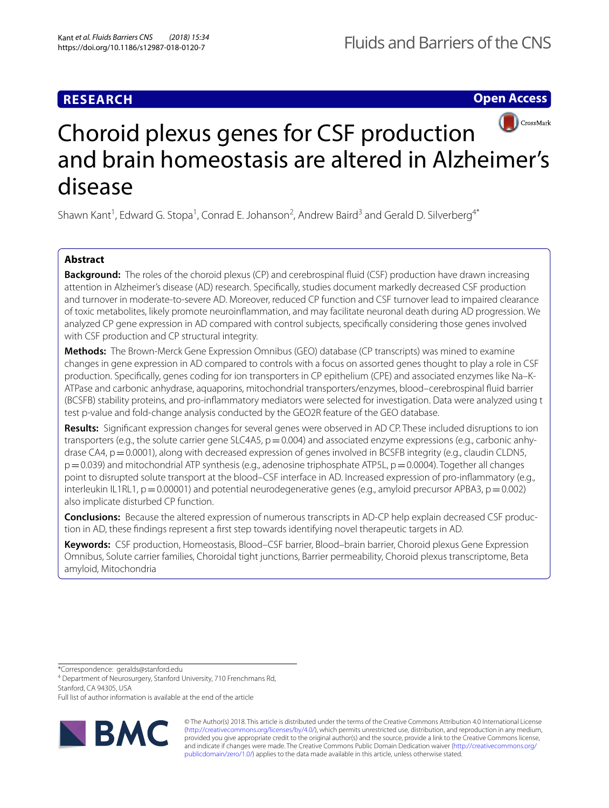**Open Access**



# Choroid plexus genes for CSF production and brain homeostasis are altered in Alzheimer's disease

Shawn Kant<sup>1</sup>, Edward G. Stopa<sup>1</sup>, Conrad E. Johanson<sup>2</sup>, Andrew Baird<sup>3</sup> and Gerald D. Silverberg<sup>4\*</sup>

## **Abstract**

**Background:** The roles of the choroid plexus (CP) and cerebrospinal fuid (CSF) production have drawn increasing attention in Alzheimer's disease (AD) research. Specifcally, studies document markedly decreased CSF production and turnover in moderate-to-severe AD. Moreover, reduced CP function and CSF turnover lead to impaired clearance of toxic metabolites, likely promote neuroinfammation, and may facilitate neuronal death during AD progression. We analyzed CP gene expression in AD compared with control subjects, specifcally considering those genes involved with CSF production and CP structural integrity.

**Methods:** The Brown-Merck Gene Expression Omnibus (GEO) database (CP transcripts) was mined to examine changes in gene expression in AD compared to controls with a focus on assorted genes thought to play a role in CSF production. Specifcally, genes coding for ion transporters in CP epithelium (CPE) and associated enzymes like Na–K-ATPase and carbonic anhydrase, aquaporins, mitochondrial transporters/enzymes, blood–cerebrospinal fuid barrier (BCSFB) stability proteins, and pro-infammatory mediators were selected for investigation. Data were analyzed using t test p-value and fold-change analysis conducted by the GEO2R feature of the GEO database.

**Results:** Signifcant expression changes for several genes were observed in AD CP. These included disruptions to ion transporters (e.g., the solute carrier gene SLC4A5,  $p=0.004$ ) and associated enzyme expressions (e.g., carbonic anhydrase CA4,  $p=0.0001$ ), along with decreased expression of genes involved in BCSFB integrity (e.g., claudin CLDN5,  $p=0.039$ ) and mitochondrial ATP synthesis (e.g., adenosine triphosphate ATP5L,  $p=0.0004$ ). Together all changes point to disrupted solute transport at the blood–CSF interface in AD. Increased expression of pro-infammatory (e.g., interleukin IL1RL1,  $p=0.00001$ ) and potential neurodegenerative genes (e.g., amyloid precursor APBA3,  $p=0.002$ ) also implicate disturbed CP function.

**Conclusions:** Because the altered expression of numerous transcripts in AD-CP help explain decreased CSF production in AD, these fndings represent a frst step towards identifying novel therapeutic targets in AD.

**Keywords:** CSF production, Homeostasis, Blood–CSF barrier, Blood–brain barrier, Choroid plexus Gene Expression Omnibus, Solute carrier families, Choroidal tight junctions, Barrier permeability, Choroid plexus transcriptome, Beta amyloid, Mitochondria

\*Correspondence: geralds@stanford.edu

4 Department of Neurosurgery, Stanford University, 710 Frenchmans Rd, Stanford, CA 94305, USA

Full list of author information is available at the end of the article



© The Author(s) 2018. This article is distributed under the terms of the Creative Commons Attribution 4.0 International License [\(http://creativecommons.org/licenses/by/4.0/\)](http://creativecommons.org/licenses/by/4.0/), which permits unrestricted use, distribution, and reproduction in any medium, provided you give appropriate credit to the original author(s) and the source, provide a link to the Creative Commons license, and indicate if changes were made. The Creative Commons Public Domain Dedication waiver ([http://creativecommons.org/](http://creativecommons.org/publicdomain/zero/1.0/) [publicdomain/zero/1.0/](http://creativecommons.org/publicdomain/zero/1.0/)) applies to the data made available in this article, unless otherwise stated.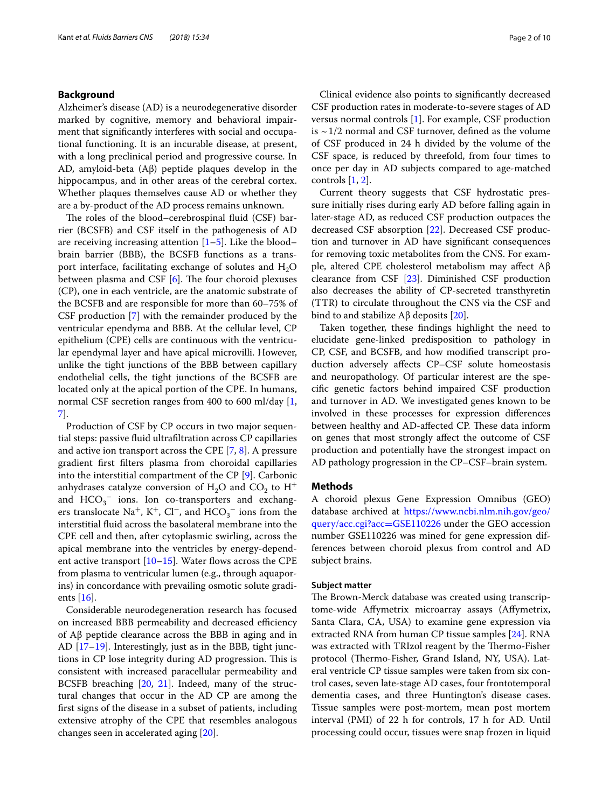## **Background**

Alzheimer's disease (AD) is a neurodegenerative disorder marked by cognitive, memory and behavioral impairment that signifcantly interferes with social and occupational functioning. It is an incurable disease, at present, with a long preclinical period and progressive course. In AD, amyloid-beta (Aβ) peptide plaques develop in the hippocampus, and in other areas of the cerebral cortex. Whether plaques themselves cause AD or whether they are a by-product of the AD process remains unknown.

The roles of the blood–cerebrospinal fluid (CSF) barrier (BCSFB) and CSF itself in the pathogenesis of AD are receiving increasing attention  $[1–5]$  $[1–5]$  $[1–5]$ . Like the blood– brain barrier (BBB), the BCSFB functions as a transport interface, facilitating exchange of solutes and  $H_2O$ between plasma and CSF  $[6]$  $[6]$  $[6]$ . The four choroid plexuses (CP), one in each ventricle, are the anatomic substrate of the BCSFB and are responsible for more than 60–75% of CSF production [[7\]](#page-7-3) with the remainder produced by the ventricular ependyma and BBB. At the cellular level, CP epithelium (CPE) cells are continuous with the ventricular ependymal layer and have apical microvilli. However, unlike the tight junctions of the BBB between capillary endothelial cells, the tight junctions of the BCSFB are located only at the apical portion of the CPE. In humans, normal CSF secretion ranges from 400 to 600 ml/day [\[1](#page-7-0), [7\]](#page-7-3).

Production of CSF by CP occurs in two major sequential steps: passive fuid ultrafltration across CP capillaries and active ion transport across the CPE [\[7](#page-7-3), [8\]](#page-7-4). A pressure gradient frst flters plasma from choroidal capillaries into the interstitial compartment of the CP [[9](#page-8-0)]. Carbonic anhydrases catalyze conversion of  $H_2O$  and  $CO_2$  to  $H^+$ and  $HCO_3^-$  ions. Ion co-transporters and exchangers translocate Na<sup>+</sup>, K<sup>+</sup>, Cl<sup>−</sup>, and  $HCO_3^-$  ions from the interstitial fuid across the basolateral membrane into the CPE cell and then, after cytoplasmic swirling, across the apical membrane into the ventricles by energy-dependent active transport  $[10-15]$  $[10-15]$  $[10-15]$ . Water flows across the CPE from plasma to ventricular lumen (e.g., through aquaporins) in concordance with prevailing osmotic solute gradients [\[16](#page-8-3)].

Considerable neurodegeneration research has focused on increased BBB permeability and decreased efficiency of Aβ peptide clearance across the BBB in aging and in AD [\[17–](#page-8-4)[19\]](#page-8-5). Interestingly, just as in the BBB, tight junctions in CP lose integrity during AD progression. This is consistent with increased paracellular permeability and BCSFB breaching [\[20](#page-8-6), [21\]](#page-8-7). Indeed, many of the structural changes that occur in the AD CP are among the frst signs of the disease in a subset of patients, including extensive atrophy of the CPE that resembles analogous changes seen in accelerated aging [\[20](#page-8-6)].

Clinical evidence also points to signifcantly decreased CSF production rates in moderate-to-severe stages of AD versus normal controls [[1\]](#page-7-0). For example, CSF production is  $\sim$  1/2 normal and CSF turnover, defined as the volume of CSF produced in 24 h divided by the volume of the CSF space, is reduced by threefold, from four times to once per day in AD subjects compared to age-matched controls [[1,](#page-7-0) [2\]](#page-7-5).

Current theory suggests that CSF hydrostatic pressure initially rises during early AD before falling again in later-stage AD, as reduced CSF production outpaces the decreased CSF absorption [\[22](#page-8-8)]. Decreased CSF production and turnover in AD have signifcant consequences for removing toxic metabolites from the CNS. For example, altered CPE cholesterol metabolism may afect Aβ clearance from CSF [\[23\]](#page-8-9). Diminished CSF production also decreases the ability of CP-secreted transthyretin (TTR) to circulate throughout the CNS via the CSF and bind to and stabilize  $\text{A}$ β deposits [\[20](#page-8-6)].

Taken together, these fndings highlight the need to elucidate gene-linked predisposition to pathology in CP, CSF, and BCSFB, and how modifed transcript production adversely afects CP–CSF solute homeostasis and neuropathology. Of particular interest are the specifc genetic factors behind impaired CSF production and turnover in AD. We investigated genes known to be involved in these processes for expression diferences between healthy and AD-affected CP. These data inform on genes that most strongly afect the outcome of CSF production and potentially have the strongest impact on AD pathology progression in the CP–CSF–brain system.

#### **Methods**

A choroid plexus Gene Expression Omnibus (GEO) database archived at [https://www.ncbi.nlm.nih.gov/geo/](https://www.ncbi.nlm.nih.gov/geo/query/acc.cgi?acc=GSE110226) [query/acc.cgi?acc](https://www.ncbi.nlm.nih.gov/geo/query/acc.cgi?acc=GSE110226)=GSE110226 under the GEO accession number GSE110226 was mined for gene expression differences between choroid plexus from control and AD subject brains.

### **Subject matter**

The Brown-Merck database was created using transcriptome-wide Afymetrix microarray assays (Afymetrix, Santa Clara, CA, USA) to examine gene expression via extracted RNA from human CP tissue samples [\[24](#page-8-10)]. RNA was extracted with TRIzol reagent by the Thermo-Fisher protocol (Thermo-Fisher, Grand Island, NY, USA). Lateral ventricle CP tissue samples were taken from six control cases, seven late-stage AD cases, four frontotemporal dementia cases, and three Huntington's disease cases. Tissue samples were post-mortem, mean post mortem interval (PMI) of 22 h for controls, 17 h for AD. Until processing could occur, tissues were snap frozen in liquid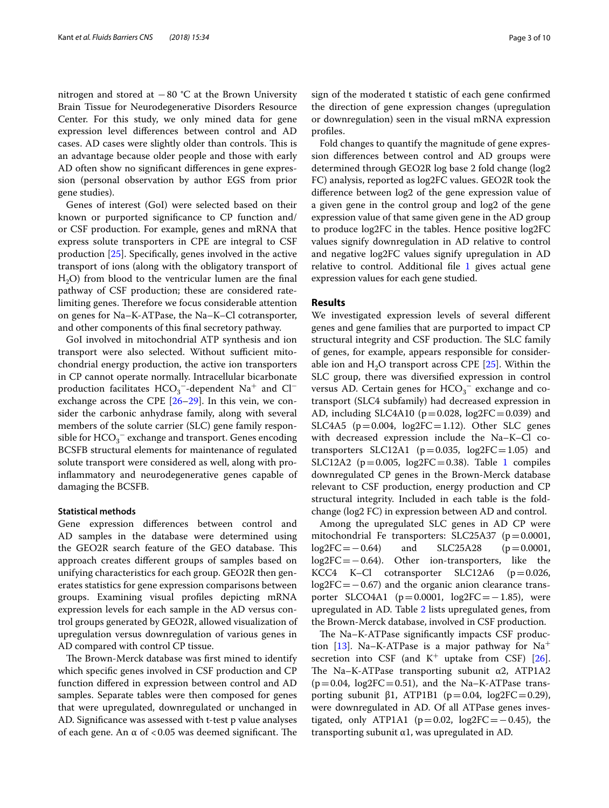nitrogen and stored at −80 °C at the Brown University Brain Tissue for Neurodegenerative Disorders Resource Center. For this study, we only mined data for gene expression level diferences between control and AD cases. AD cases were slightly older than controls. This is an advantage because older people and those with early AD often show no signifcant diferences in gene expression (personal observation by author EGS from prior gene studies).

Genes of interest (GoI) were selected based on their known or purported signifcance to CP function and/ or CSF production. For example, genes and mRNA that express solute transporters in CPE are integral to CSF production [\[25](#page-8-11)]. Specifcally, genes involved in the active transport of ions (along with the obligatory transport of  $H<sub>2</sub>O$ ) from blood to the ventricular lumen are the final pathway of CSF production; these are considered ratelimiting genes. Therefore we focus considerable attention on genes for Na–K-ATPase, the Na–K–Cl cotransporter, and other components of this fnal secretory pathway.

GoI involved in mitochondrial ATP synthesis and ion transport were also selected. Without sufficient mitochondrial energy production, the active ion transporters in CP cannot operate normally. Intracellular bicarbonate production facilitates  $\mathrm{HCO}_3^-$ -dependent  $\mathrm{Na^+}$  and  $\mathrm{Cl^-}$ exchange across the CPE  $[26-29]$  $[26-29]$  $[26-29]$ . In this vein, we consider the carbonic anhydrase family, along with several members of the solute carrier (SLC) gene family responsible for  $\mathrm{HCO_3}^-$  exchange and transport. Genes encoding BCSFB structural elements for maintenance of regulated solute transport were considered as well, along with proinfammatory and neurodegenerative genes capable of damaging the BCSFB.

#### **Statistical methods**

Gene expression diferences between control and AD samples in the database were determined using the GEO2R search feature of the GEO database. This approach creates diferent groups of samples based on unifying characteristics for each group. GEO2R then generates statistics for gene expression comparisons between groups. Examining visual profles depicting mRNA expression levels for each sample in the AD versus control groups generated by GEO2R, allowed visualization of upregulation versus downregulation of various genes in AD compared with control CP tissue.

The Brown-Merck database was first mined to identify which specifc genes involved in CSF production and CP function difered in expression between control and AD samples. Separate tables were then composed for genes that were upregulated, downregulated or unchanged in AD. Signifcance was assessed with t-test p value analyses of each gene. An  $\alpha$  of <0.05 was deemed significant. The

sign of the moderated t statistic of each gene confrmed the direction of gene expression changes (upregulation or downregulation) seen in the visual mRNA expression profles.

Fold changes to quantify the magnitude of gene expression diferences between control and AD groups were determined through GEO2R log base 2 fold change (log2 FC) analysis, reported as log2FC values. GEO2R took the diference between log2 of the gene expression value of a given gene in the control group and log2 of the gene expression value of that same given gene in the AD group to produce log2FC in the tables. Hence positive log2FC values signify downregulation in AD relative to control and negative log2FC values signify upregulation in AD relative to control. Additional file [1](#page-7-6) gives actual gene expression values for each gene studied.

#### **Results**

We investigated expression levels of several diferent genes and gene families that are purported to impact CP structural integrity and CSF production. The SLC family of genes, for example, appears responsible for considerable ion and  $H_2O$  transport across CPE [\[25](#page-8-11)]. Within the SLC group, there was diversifed expression in control versus AD. Certain genes for  $HCO_3^-$  exchange and cotransport (SLC4 subfamily) had decreased expression in AD, including SLC4A10 ( $p=0.028$ , log2FC=0.039) and SLC4A5 ( $p=0.004$ ,  $log2FC=1.12$ ). Other SLC genes with decreased expression include the Na–K–Cl cotransporters SLC12A1 ( $p=0.035$ ,  $log2FC=1.05$ ) and SLC12A2 ( $p=0.005$ ,  $log2FC=0.38$ ). Table [1](#page-3-0) compiles downregulated CP genes in the Brown-Merck database relevant to CSF production, energy production and CP structural integrity. Included in each table is the foldchange (log2 FC) in expression between AD and control.

Among the upregulated SLC genes in AD CP were mitochondrial Fe transporters:  $SLC25A37$  ( $p=0.0001$ ,  $log2FC = -0.64$ ) and  $SLC25A28$  ( $p=0.0001$ ,  $log2FC=-0.64$  and SLC25A28 (p=0.0001,<br> $log2FC=-0.64$ ). Other ion-transporters, like the Other ion-transporters, like the<br>otransporter SLC12A6 ( $p=0.026$ , KCC4 K–Cl cotransporter log2FC=−0.67) and the organic anion clearance transporter SLCO4A1 ( $p=0.0001$ , log2FC=−1.85), were upregulated in AD. Table [2](#page-4-0) lists upregulated genes, from the Brown-Merck database, involved in CSF production.

The Na–K-ATPase significantly impacts CSF produc-tion [[13](#page-8-14)]. Na–K-ATPase is a major pathway for  $Na<sup>+</sup>$ secretion into CSF (and  $K^+$  uptake from CSF) [\[26](#page-8-12)]. The Na–K-ATPase transporting subunit  $\alpha$ 2, ATP1A2  $(p=0.04, log2FC=0.51)$ , and the Na–K-ATPase transporting subunit β1, ATP1B1 (p=0.04, log2FC=0.29), were downregulated in AD. Of all ATPase genes investigated, only ATP1A1 ( $p=0.02$ , log2FC= $-0.45$ ), the transporting subunit α1, was upregulated in AD.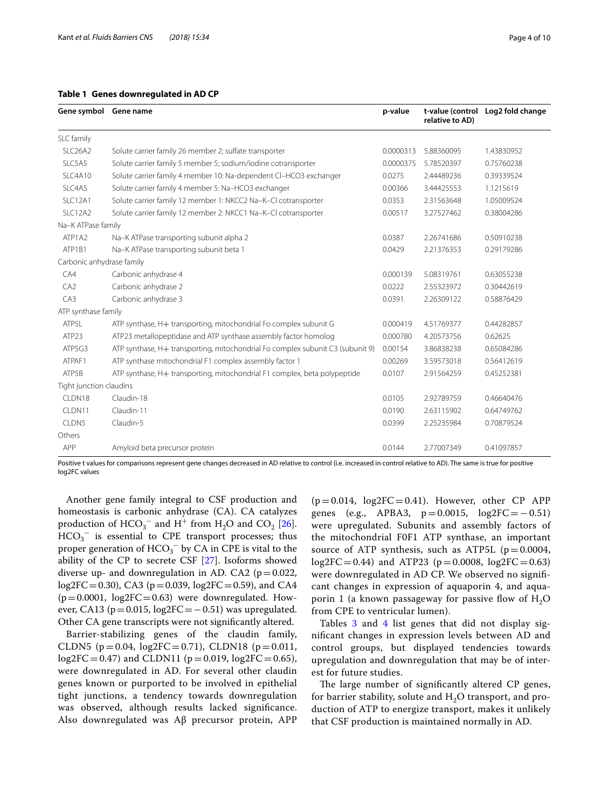#### <span id="page-3-0"></span>**Table 1 Genes downregulated in AD CP**

| Gene symbol Gene name            |                                                                                | p-value   | relative to AD) | t-value (control Log2 fold change |
|----------------------------------|--------------------------------------------------------------------------------|-----------|-----------------|-----------------------------------|
| SLC family                       |                                                                                |           |                 |                                   |
| SLC <sub>26</sub> A <sub>2</sub> | Solute carrier family 26 member 2; sulfate transporter                         | 0.0000313 | 5.88360095      | 1.43830952                        |
| SLC5A5                           | Solute carrier family 5 member 5; sodium/iodine cotransporter                  | 0.0000375 | 5.78520397      | 0.75760238                        |
| SLC4A10                          | Solute carrier family 4 member 10: Na-dependent CI-HCO3 exchanger              | 0.0275    | 2.44489236      | 0.39339524                        |
| SLC4A5                           | Solute carrier family 4 member 5: Na-HCO3 exchanger                            | 0.00366   | 3.44425553      | 1.1215619                         |
| SLC12A1                          | Solute carrier family 12 member 1: NKCC2 Na-K-CI cotransporter                 | 0.0353    | 2.31563648      | 1.05009524                        |
| SLC12A2                          | Solute carrier family 12 member 2: NKCC1 Na-K-Cl cotransporter                 | 0.00517   | 3.27527462      | 0.38004286                        |
| Na-K ATPase family               |                                                                                |           |                 |                                   |
| ATP1A2                           | Na-K ATPase transporting subunit alpha 2                                       | 0.0387    | 2.26741686      | 0.50910238                        |
| ATP1B1                           | Na-K ATPase transporting subunit beta 1                                        | 0.0429    | 2.21376353      | 0.29179286                        |
| Carbonic anhydrase family        |                                                                                |           |                 |                                   |
| CA4                              | Carbonic anhydrase 4                                                           | 0.000139  | 5.08319761      | 0.63055238                        |
| CA2                              | Carbonic anhydrase 2                                                           | 0.0222    | 2.55323972      | 0.30442619                        |
| CA3                              | Carbonic anhydrase 3                                                           | 0.0391    | 2.26309122      | 0.58876429                        |
| ATP synthase family              |                                                                                |           |                 |                                   |
| ATP5L                            | ATP synthase, H+ transporting, mitochondrial Fo complex subunit G              | 0.000419  | 4.51769377      | 0.44282857                        |
| ATP23                            | ATP23 metallopeptidase and ATP synthase assembly factor homolog                | 0.000780  | 4.20573756      | 0.62625                           |
| ATP5G3                           | ATP synthase, H+ transporting, mitochondrial Fo complex subunit C3 (subunit 9) | 0.00154   | 3.86838238      | 0.65084286                        |
| ATPAF1                           | ATP synthase mitochondrial F1 complex assembly factor 1                        | 0.00269   | 3.59573018      | 0.56412619                        |
| ATP5B                            | ATP synthase, H+ transporting, mitochondrial F1 complex, beta polypeptide      | 0.0107    | 2.91564259      | 0.45252381                        |
| Tight junction claudins          |                                                                                |           |                 |                                   |
| CLDN18                           | Claudin-18                                                                     | 0.0105    | 2.92789759      | 0.46640476                        |
| CLDN11                           | Claudin-11                                                                     | 0.0190    | 2.63115902      | 0.64749762                        |
| CLDN5                            | Claudin-5                                                                      | 0.0399    | 2.25235984      | 0.70879524                        |
| Others                           |                                                                                |           |                 |                                   |
| APP                              | Amyloid beta precursor protein                                                 | 0.0144    | 2.77007349      | 0.41097857                        |

Positive t values for comparisons represent gene changes decreased in AD relative to control (i.e. increased in control relative to AD). The same is true for positive log2FC values

Another gene family integral to CSF production and homeostasis is carbonic anhydrase (CA). CA catalyzes production of  $HCO_3^-$  and  $H^+$  from  $H_2O$  and  $CO_2$  [\[26](#page-8-12)].  $HCO_3^-$  is essential to CPE transport processes; thus proper generation of  $HCO_3^-$  by CA in CPE is vital to the ability of the CP to secrete CSF [\[27\]](#page-8-15). Isoforms showed diverse up- and downregulation in AD. CA2 ( $p=0.022$ , log2FC=0.30), CA3 ( $p=0.039$ , log2FC=0.59), and CA4  $(p=0.0001, log2FC=0.63)$  were downregulated. However, CA13 ( $p=0.015$ , log2FC=−0.51) was upregulated. Other CA gene transcripts were not signifcantly altered.

Barrier-stabilizing genes of the claudin family, CLDN5 ( $p = 0.04$ , log2FC=0.71), CLDN18 ( $p = 0.011$ ,  $log2FC = 0.47$ ) and CLDN11 ( $p = 0.019$ ,  $log2FC = 0.65$ ), were downregulated in AD. For several other claudin genes known or purported to be involved in epithelial tight junctions, a tendency towards downregulation was observed, although results lacked signifcance. Also downregulated was Aβ precursor protein, APP

 $(p=0.014, log2FC=0.41)$ . However, other CP APP genes (e.g., APBA3,  $p=0.0015$ ,  $log2FC=-0.51$ ) were upregulated. Subunits and assembly factors of the mitochondrial F0F1 ATP synthase, an important source of ATP synthesis, such as ATP5L ( $p=0.0004$ ,  $log2FC = 0.44$ ) and ATP23 ( $p = 0.0008$ ,  $log2FC = 0.63$ ) were downregulated in AD CP. We observed no signifcant changes in expression of aquaporin 4, and aquaporin 1 (a known passageway for passive flow of  $H_2O$ from CPE to ventricular lumen).

Tables [3](#page-4-1) and [4](#page-5-0) list genes that did not display signifcant changes in expression levels between AD and control groups, but displayed tendencies towards upregulation and downregulation that may be of interest for future studies.

The large number of significantly altered CP genes, for barrier stability, solute and  $H_2O$  transport, and production of ATP to energize transport, makes it unlikely that CSF production is maintained normally in AD.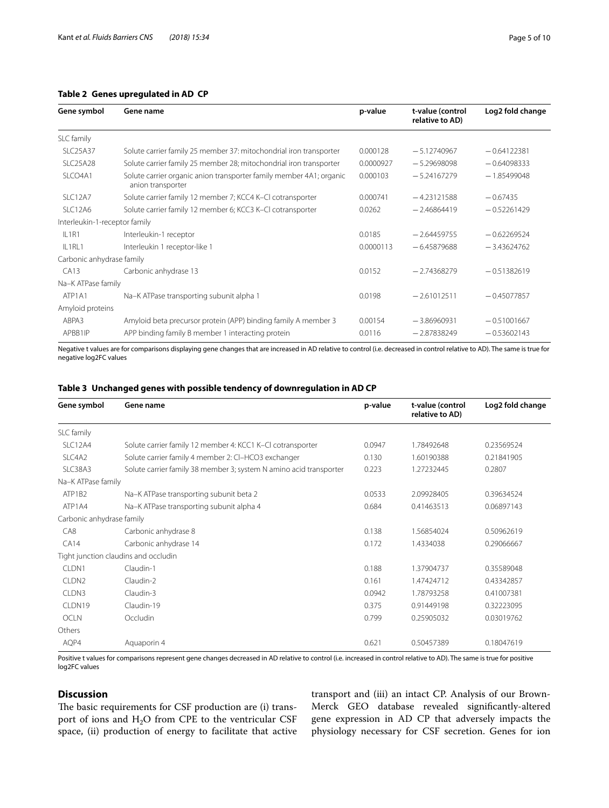## <span id="page-4-0"></span>**Table 2 Genes upregulated in AD CP**

| Gene symbol                   | Gene name                                                                                | p-value   | t-value (control<br>relative to AD) | Log2 fold change |
|-------------------------------|------------------------------------------------------------------------------------------|-----------|-------------------------------------|------------------|
| SLC family                    |                                                                                          |           |                                     |                  |
| <b>SLC25A37</b>               | Solute carrier family 25 member 37: mitochondrial iron transporter                       | 0.000128  | $-5.12740967$                       | $-0.64122381$    |
| <b>SLC25A28</b>               | Solute carrier family 25 member 28; mitochondrial iron transporter                       | 0.0000927 | $-5.29698098$                       | $-0.64098333$    |
| SLCO4A1                       | Solute carrier organic anion transporter family member 4A1; organic<br>anion transporter | 0.000103  | $-5.24167279$                       | $-1.85499048$    |
| SLC12A7                       | Solute carrier family 12 member 7; KCC4 K-CI cotransporter                               | 0.000741  | $-4.23121588$                       | $-0.67435$       |
| SLC12A6                       | Solute carrier family 12 member 6; KCC3 K-CI cotransporter                               | 0.0262    | $-2.46864419$                       | $-0.52261429$    |
| Interleukin-1-receptor family |                                                                                          |           |                                     |                  |
| IL1R1                         | Interleukin-1 receptor                                                                   | 0.0185    | $-2.64459755$                       | $-0.62269524$    |
| IL1RL1                        | Interleukin 1 receptor-like 1                                                            | 0.0000113 | $-6.45879688$                       | $-3,43624762$    |
| Carbonic anhydrase family     |                                                                                          |           |                                     |                  |
| CA13                          | Carbonic anhydrase 13                                                                    | 0.0152    | $-2.74368279$                       | $-0.51382619$    |
| Na-K ATPase family            |                                                                                          |           |                                     |                  |
| ATP1A1                        | Na-K ATPase transporting subunit alpha 1                                                 | 0.0198    | $-2.61012511$                       | $-0.45077857$    |
| Amyloid proteins              |                                                                                          |           |                                     |                  |
| ABPA3                         | Amyloid beta precursor protein (APP) binding family A member 3                           | 0.00154   | $-3.86960931$                       | $-0.51001667$    |
| APBB1IP                       | APP binding family B member 1 interacting protein                                        | 0.0116    | $-2.87838249$                       | $-0.53602143$    |

Negative t values are for comparisons displaying gene changes that are increased in AD relative to control (i.e. decreased in control relative to AD). The same is true for negative log2FC values

## <span id="page-4-1"></span>**Table 3 Unchanged genes with possible tendency of downregulation in AD CP**

| Gene symbol               | Gene name                                                          | p-value | t-value (control<br>relative to AD) | Log2 fold change |
|---------------------------|--------------------------------------------------------------------|---------|-------------------------------------|------------------|
| SLC family                |                                                                    |         |                                     |                  |
| SLC12A4                   | Solute carrier family 12 member 4: KCC1 K-CI cotransporter         | 0.0947  | 1.78492648                          | 0.23569524       |
| SLC4A2                    | Solute carrier family 4 member 2: CI-HCO3 exchanger                | 0.130   | 1.60190388                          | 0.21841905       |
| SLC38A3                   | Solute carrier family 38 member 3; system N amino acid transporter | 0.223   | 1.27232445                          | 0.2807           |
| Na-K ATPase family        |                                                                    |         |                                     |                  |
| ATP1B2                    | Na-K ATPase transporting subunit beta 2                            | 0.0533  | 2.09928405                          | 0.39634524       |
| ATP1A4                    | Na-K ATPase transporting subunit alpha 4                           | 0.684   | 0.41463513                          | 0.06897143       |
| Carbonic anhydrase family |                                                                    |         |                                     |                  |
| CA8                       | Carbonic anhydrase 8                                               | 0.138   | 1.56854024                          | 0.50962619       |
| CA14                      | Carbonic anhydrase 14                                              | 0.172   | 1.4334038                           | 0.29066667       |
|                           | Tight junction claudins and occludin                               |         |                                     |                  |
| CLDN1                     | Claudin-1                                                          | 0.188   | 1.37904737                          | 0.35589048       |
| CLDN <sub>2</sub>         | Claudin-2                                                          | 0.161   | 1.47424712                          | 0.43342857       |
| CLDN3                     | Claudin-3                                                          | 0.0942  | 1.78793258                          | 0.41007381       |
| CLDN19                    | Claudin-19                                                         | 0.375   | 0.91449198                          | 0.32223095       |
| <b>OCLN</b>               | Occludin                                                           | 0.799   | 0.25905032                          | 0.03019762       |
| Others                    |                                                                    |         |                                     |                  |
| AQP4                      | Aquaporin 4                                                        | 0.621   | 0.50457389                          | 0.18047619       |

Positive t values for comparisons represent gene changes decreased in AD relative to control (i.e. increased in control relative to AD). The same is true for positive log2FC values

## **Discussion**

The basic requirements for CSF production are (i) transport of ions and  $H_2O$  from CPE to the ventricular CSF space, (ii) production of energy to facilitate that active transport and (iii) an intact CP. Analysis of our Brown-Merck GEO database revealed signifcantly-altered gene expression in AD CP that adversely impacts the physiology necessary for CSF secretion. Genes for ion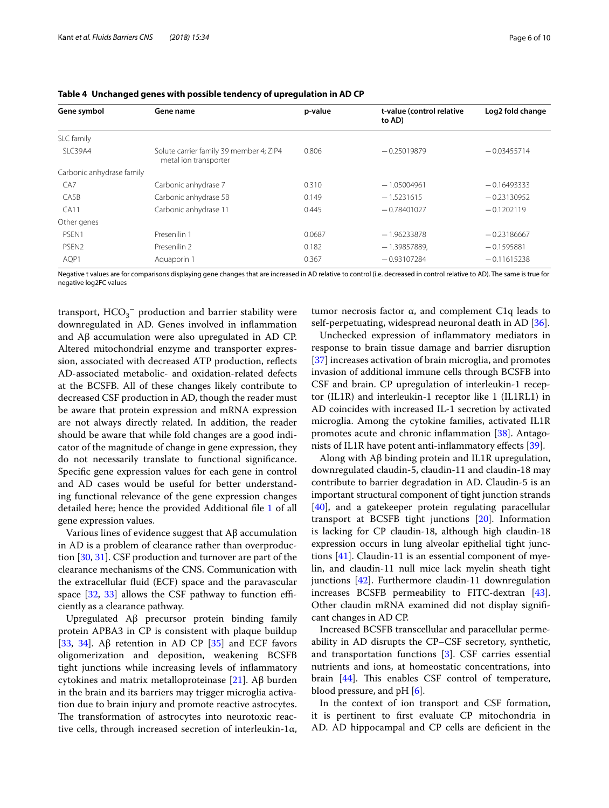| Gene symbol               | Gene name                                                        | p-value | t-value (control relative<br>to AD) | Log2 fold change |
|---------------------------|------------------------------------------------------------------|---------|-------------------------------------|------------------|
| SLC family                |                                                                  |         |                                     |                  |
| SLC39A4                   | Solute carrier family 39 member 4; ZIP4<br>metal ion transporter | 0.806   | $-0.25019879$                       | $-0.03455714$    |
| Carbonic anhydrase family |                                                                  |         |                                     |                  |
| CA <sub>7</sub>           | Carbonic anhydrase 7                                             | 0.310   | $-1.05004961$                       | $-0.16493333$    |
| CA5B                      | Carbonic anhydrase 5B                                            | 0.149   | $-1.5231615$                        | $-0.23130952$    |
| CA11                      | Carbonic anhydrase 11                                            | 0.445   | $-0.78401027$                       | $-0.1202119$     |
| Other genes               |                                                                  |         |                                     |                  |
| PSFN1                     | Presenilin 1                                                     | 0.0687  | $-1.96233878$                       | $-0.23186667$    |
| PSEN <sub>2</sub>         | Presenilin 2                                                     | 0.182   | $-1.39857889,$                      | $-0.1595881$     |
| AQP1                      | Aquaporin 1                                                      | 0.367   | $-0.93107284$                       | $-0.11615238$    |

<span id="page-5-0"></span>

Negative t values are for comparisons displaying gene changes that are increased in AD relative to control (i.e. decreased in control relative to AD). The same is true for negative log2FC values

transport,  $\mathrm{HCO_3^-}$  production and barrier stability were downregulated in AD. Genes involved in infammation and Aβ accumulation were also upregulated in AD CP. Altered mitochondrial enzyme and transporter expression, associated with decreased ATP production, refects AD-associated metabolic- and oxidation-related defects at the BCSFB. All of these changes likely contribute to decreased CSF production in AD, though the reader must be aware that protein expression and mRNA expression are not always directly related. In addition, the reader should be aware that while fold changes are a good indicator of the magnitude of change in gene expression, they do not necessarily translate to functional signifcance. Specifc gene expression values for each gene in control and AD cases would be useful for better understanding functional relevance of the gene expression changes detailed here; hence the provided Additional fle [1](#page-7-6) of all gene expression values.

Various lines of evidence suggest that Aβ accumulation in AD is a problem of clearance rather than overproduction [[30](#page-8-16), [31\]](#page-8-17). CSF production and turnover are part of the clearance mechanisms of the CNS. Communication with the extracellular fuid (ECF) space and the paravascular space  $[32, 33]$  $[32, 33]$  $[32, 33]$  allows the CSF pathway to function efficiently as a clearance pathway.

Upregulated Aβ precursor protein binding family protein APBA3 in CP is consistent with plaque buildup [[33,](#page-8-19) [34](#page-8-20)]. Aβ retention in AD CP  $[35]$  $[35]$  $[35]$  and ECF favors oligomerization and deposition, weakening BCSFB tight junctions while increasing levels of infammatory cytokines and matrix metalloproteinase [\[21](#page-8-7)]. Aβ burden in the brain and its barriers may trigger microglia activation due to brain injury and promote reactive astrocytes. The transformation of astrocytes into neurotoxic reactive cells, through increased secretion of interleukin-1α,

tumor necrosis factor α, and complement C1q leads to self-perpetuating, widespread neuronal death in AD [[36](#page-8-22)].

Unchecked expression of infammatory mediators in response to brain tissue damage and barrier disruption [[37\]](#page-8-23) increases activation of brain microglia, and promotes invasion of additional immune cells through BCSFB into CSF and brain. CP upregulation of interleukin-1 receptor (IL1R) and interleukin-1 receptor like 1 (IL1RL1) in AD coincides with increased IL-1 secretion by activated microglia. Among the cytokine families, activated IL1R promotes acute and chronic inflammation [[38](#page-8-24)]. Antagonists of IL1R have potent anti-infammatory efects [\[39\]](#page-8-25).

Along with Aβ binding protein and IL1R upregulation, downregulated claudin-5, claudin-11 and claudin-18 may contribute to barrier degradation in AD. Claudin-5 is an important structural component of tight junction strands [[40\]](#page-8-26), and a gatekeeper protein regulating paracellular transport at BCSFB tight junctions [\[20\]](#page-8-6). Information is lacking for CP claudin-18, although high claudin-18 expression occurs in lung alveolar epithelial tight junctions  $[41]$ . Claudin-11 is an essential component of myelin, and claudin-11 null mice lack myelin sheath tight junctions [\[42\]](#page-8-28). Furthermore claudin-11 downregulation increases BCSFB permeability to FITC-dextran [\[43](#page-8-29)]. Other claudin mRNA examined did not display signifcant changes in AD CP.

Increased BCSFB transcellular and paracellular permeability in AD disrupts the CP–CSF secretory, synthetic, and transportation functions [[3\]](#page-7-7). CSF carries essential nutrients and ions, at homeostatic concentrations, into brain [[44\]](#page-8-30). This enables CSF control of temperature, blood pressure, and pH [\[6](#page-7-2)].

In the context of ion transport and CSF formation, it is pertinent to frst evaluate CP mitochondria in AD. AD hippocampal and CP cells are deficient in the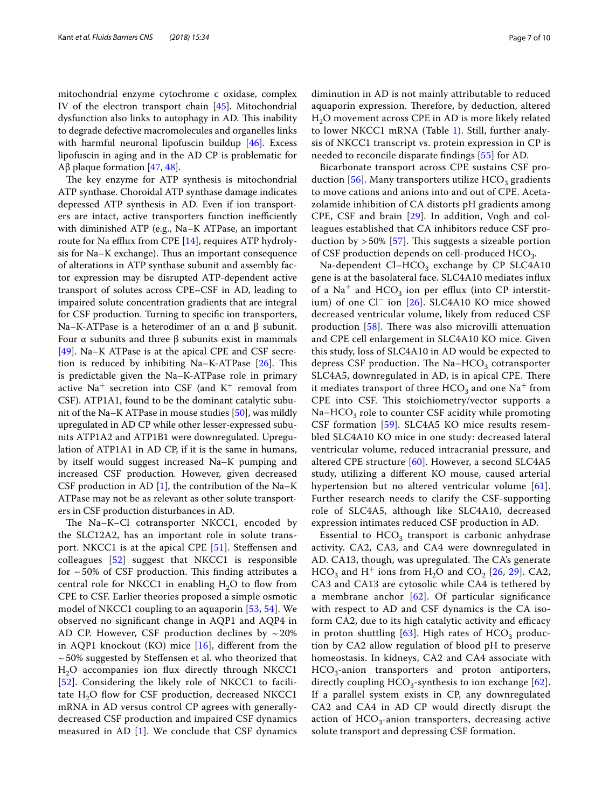mitochondrial enzyme cytochrome c oxidase, complex IV of the electron transport chain [[45](#page-8-31)]. Mitochondrial dysfunction also links to autophagy in AD. This inability to degrade defective macromolecules and organelles links with harmful neuronal lipofuscin buildup [[46\]](#page-8-32). Excess lipofuscin in aging and in the AD CP is problematic for Aβ plaque formation [\[47](#page-8-33), [48](#page-9-0)].

The key enzyme for ATP synthesis is mitochondrial ATP synthase. Choroidal ATP synthase damage indicates depressed ATP synthesis in AD. Even if ion transporters are intact, active transporters function inefficiently with diminished ATP (e.g., Na–K ATPase, an important route for Na efflux from CPE  $[14]$  $[14]$ , requires ATP hydrolysis for Na–K exchange). Thus an important consequence of alterations in ATP synthase subunit and assembly factor expression may be disrupted ATP-dependent active transport of solutes across CPE–CSF in AD, leading to impaired solute concentration gradients that are integral for CSF production. Turning to specifc ion transporters, Na–K-ATPase is a heterodimer of an  $\alpha$  and  $\beta$  subunit. Four α subunits and three β subunits exist in mammals [[49\]](#page-9-1). Na–K ATPase is at the apical CPE and CSF secretion is reduced by inhibiting Na–K-ATPase  $[26]$ . This is predictable given the Na–K-ATPase role in primary active  $Na<sup>+</sup>$  secretion into CSF (and  $K<sup>+</sup>$  removal from CSF). ATP1A1, found to be the dominant catalytic subunit of the Na–K ATPase in mouse studies [[50](#page-9-2)], was mildly upregulated in AD CP while other lesser-expressed subunits ATP1A2 and ATP1B1 were downregulated. Upregulation of ATP1A1 in AD CP, if it is the same in humans, by itself would suggest increased Na–K pumping and increased CSF production. However, given decreased CSF production in AD  $[1]$  $[1]$ , the contribution of the Na–K ATPase may not be as relevant as other solute transporters in CSF production disturbances in AD.

The Na-K-Cl cotransporter NKCC1, encoded by the SLC12A2, has an important role in solute transport. NKCC1 is at the apical CPE [\[51](#page-9-3)]. Stefensen and colleagues [[52\]](#page-9-4) suggest that NKCC1 is responsible for  $\sim$  50% of CSF production. This finding attributes a central role for NKCC1 in enabling  $H_2O$  to flow from CPE to CSF. Earlier theories proposed a simple osmotic model of NKCC1 coupling to an aquaporin [[53,](#page-9-5) [54\]](#page-9-6). We observed no signifcant change in AQP1 and AQP4 in AD CP. However, CSF production declines by  $\sim$  20% in AQP1 knockout (KO) mice  $[16]$  $[16]$ , different from the  $\sim$  50% suggested by Steffensen et al. who theorized that H<sub>2</sub>O accompanies ion flux directly through NKCC1 [[52](#page-9-4)]. Considering the likely role of NKCC1 to facilitate  $H<sub>2</sub>O$  flow for CSF production, decreased NKCC1 mRNA in AD versus control CP agrees with generallydecreased CSF production and impaired CSF dynamics measured in AD [[1](#page-7-0)]. We conclude that CSF dynamics diminution in AD is not mainly attributable to reduced aquaporin expression. Therefore, by deduction, altered  $H<sub>2</sub>O$  movement across CPE in AD is more likely related to lower NKCC1 mRNA (Table [1\)](#page-3-0). Still, further analysis of NKCC1 transcript vs. protein expression in CP is needed to reconcile disparate fndings [\[55\]](#page-9-7) for AD.

Bicarbonate transport across CPE sustains CSF pro-duction [[56](#page-9-8)]. Many transporters utilize  $HCO<sub>3</sub>$  gradients to move cations and anions into and out of CPE. Acetazolamide inhibition of CA distorts pH gradients among CPE, CSF and brain [\[29](#page-8-13)]. In addition, Vogh and colleagues established that CA inhibitors reduce CSF production by  $>50\%$  [\[57](#page-9-9)]. This suggests a sizeable portion of CSF production depends on cell-produced  $HCO<sub>3</sub>$ .

Na-dependent  $Cl-HCO<sub>3</sub>$  exchange by CP SLC4A10 gene is at the basolateral face. SLC4A10 mediates infux of a  $Na<sup>+</sup>$  and HCO<sub>3</sub> ion per efflux (into CP interstitium) of one Cl− ion [\[26\]](#page-8-12). SLC4A10 KO mice showed decreased ventricular volume, likely from reduced CSF production  $[58]$  $[58]$  $[58]$ . There was also microvilli attenuation and CPE cell enlargement in SLC4A10 KO mice. Given this study, loss of SLC4A10 in AD would be expected to depress CSF production. The Na–HCO<sub>3</sub> cotransporter SLC4A5, downregulated in AD, is in apical CPE. There it mediates transport of three  $HCO<sub>3</sub>$  and one Na<sup>+</sup> from CPE into CSF. This stoichiometry/vector supports a  $Na-HCO<sub>3</sub>$  role to counter CSF acidity while promoting CSF formation [[59\]](#page-9-11). SLC4A5 KO mice results resembled SLC4A10 KO mice in one study: decreased lateral ventricular volume, reduced intracranial pressure, and altered CPE structure [[60](#page-9-12)]. However, a second SLC4A5 study, utilizing a diferent KO mouse, caused arterial hypertension but no altered ventricular volume [[61](#page-9-13)]. Further research needs to clarify the CSF-supporting role of SLC4A5, although like SLC4A10, decreased expression intimates reduced CSF production in AD.

Essential to  $HCO<sub>3</sub>$  transport is carbonic anhydrase activity. CA2, CA3, and CA4 were downregulated in AD. CA13, though, was upregulated. The CA's generate  $HCO<sub>3</sub>$  and H<sup>+</sup> ions from H<sub>2</sub>O and CO<sub>2</sub> [[26,](#page-8-12) [29\]](#page-8-13). CA2, CA3 and CA13 are cytosolic while CA4 is tethered by a membrane anchor [\[62](#page-9-14)]. Of particular signifcance with respect to AD and CSF dynamics is the CA isoform CA2, due to its high catalytic activity and efficacy in proton shuttling  $[63]$  $[63]$ . High rates of HCO<sub>3</sub> production by CA2 allow regulation of blood pH to preserve homeostasis. In kidneys, CA2 and CA4 associate with  $HCO<sub>3</sub>$ -anion transporters and proton antiporters, directly coupling  $HCO<sub>3</sub>$ -synthesis to ion exchange [[62](#page-9-14)]. If a parallel system exists in CP, any downregulated CA2 and CA4 in AD CP would directly disrupt the action of  $HCO<sub>3</sub>$ -anion transporters, decreasing active solute transport and depressing CSF formation.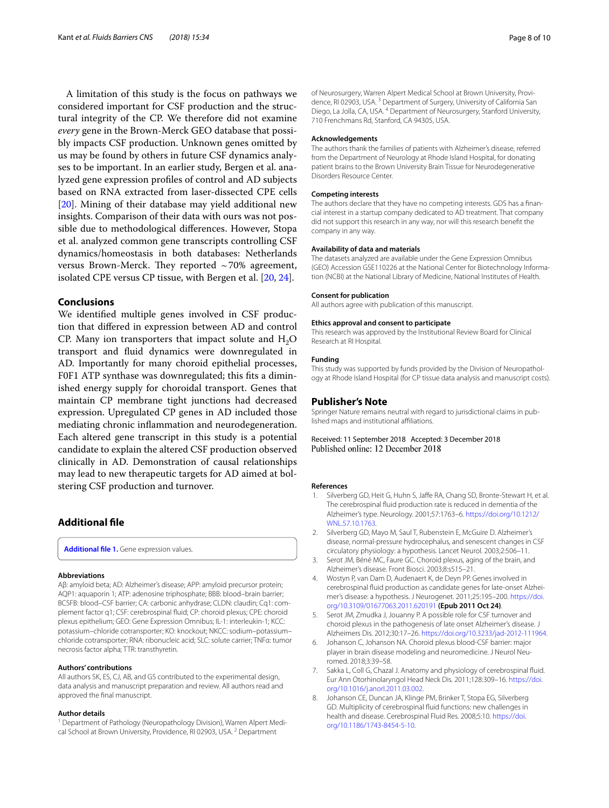A limitation of this study is the focus on pathways we considered important for CSF production and the structural integrity of the CP. We therefore did not examine *every* gene in the Brown-Merck GEO database that possibly impacts CSF production. Unknown genes omitted by us may be found by others in future CSF dynamics analyses to be important. In an earlier study, Bergen et al. analyzed gene expression profles of control and AD subjects based on RNA extracted from laser-dissected CPE cells [[20\]](#page-8-6). Mining of their database may yield additional new insights. Comparison of their data with ours was not possible due to methodological diferences. However, Stopa et al. analyzed common gene transcripts controlling CSF dynamics/homeostasis in both databases: Netherlands versus Brown-Merck. They reported  $\sim$  70% agreement, isolated CPE versus CP tissue, with Bergen et al. [\[20](#page-8-6), [24](#page-8-10)].

## **Conclusions**

We identifed multiple genes involved in CSF production that difered in expression between AD and control CP. Many ion transporters that impact solute and  $H_2O$ transport and fuid dynamics were downregulated in AD. Importantly for many choroid epithelial processes, F0F1 ATP synthase was downregulated; this fts a diminished energy supply for choroidal transport. Genes that maintain CP membrane tight junctions had decreased expression. Upregulated CP genes in AD included those mediating chronic infammation and neurodegeneration. Each altered gene transcript in this study is a potential candidate to explain the altered CSF production observed clinically in AD. Demonstration of causal relationships may lead to new therapeutic targets for AD aimed at bolstering CSF production and turnover.

## **Additional fle**

<span id="page-7-6"></span>**[Additional fle 1.](https://doi.org/10.1186/s12987-018-0120-7)** Gene expression values.

#### **Abbreviations**

Aβ: amyloid beta; AD: Alzheimer's disease; APP: amyloid precursor protein; AQP1: aquaporin 1; ATP: adenosine triphosphate; BBB: blood–brain barrier; BCSFB: blood–CSF barrier; CA: carbonic anhydrase; CLDN: claudin; Cq1: complement factor q1; CSF: cerebrospinal fuid; CP: choroid plexus; CPE: choroid plexus epithelium; GEO: Gene Expression Omnibus; IL-1: interleukin-1; KCC: potassium–chloride cotransporter; KO: knockout; NKCC: sodium–potassium– chloride cotransporter; RNA: ribonucleic acid; SLC: solute carrier; TNFα: tumor necrosis factor alpha; TTR: transthyretin.

#### **Authors' contributions**

All authors SK, ES, CJ, AB, and GS contributed to the experimental design, data analysis and manuscript preparation and review. All authors read and approved the fnal manuscript.

#### **Author details**

<sup>1</sup> Department of Pathology (Neuropathology Division), Warren Alpert Medical School at Brown University, Providence, RI 02903, USA.<sup>2</sup> Department

of Neurosurgery, Warren Alpert Medical School at Brown University, Providence, RI 02903, USA.<sup>3</sup> Department of Surgery, University of California San Diego, La Jolla, CA, USA. 4 Department of Neurosurgery, Stanford University, 710 Frenchmans Rd, Stanford, CA 94305, USA.

#### **Acknowledgements**

The authors thank the families of patients with Alzheimer's disease, referred from the Department of Neurology at Rhode Island Hospital, for donating patient brains to the Brown University Brain Tissue for Neurodegenerative Disorders Resource Center.

#### **Competing interests**

The authors declare that they have no competing interests. GDS has a fnancial interest in a startup company dedicated to AD treatment. That company did not support this research in any way, nor will this research beneft the company in any way.

#### **Availability of data and materials**

The datasets analyzed are available under the Gene Expression Omnibus (GEO) Accession GSE110226 at the National Center for Biotechnology Information (NCBI) at the National Library of Medicine, National Institutes of Health.

#### **Consent for publication**

All authors agree with publication of this manuscript.

#### **Ethics approval and consent to participate**

This research was approved by the Institutional Review Board for Clinical Research at RI Hospital.

#### **Funding**

This study was supported by funds provided by the Division of Neuropathology at Rhode Island Hospital (for CP tissue data analysis and manuscript costs).

#### **Publisher's Note**

Springer Nature remains neutral with regard to jurisdictional claims in published maps and institutional afliations.

Received: 11 September 2018 Accepted: 3 December 2018 Published online: 12 December 2018

#### **References**

- <span id="page-7-0"></span>Silverberg GD, Heit G, Huhn S, Jaffe RA, Chang SD, Bronte-Stewart H, et al. The cerebrospinal fuid production rate is reduced in dementia of the Alzheimer's type. Neurology. 2001;57:1763–6. [https://doi.org/10.1212/](https://doi.org/10.1212/WNL.57.10.1763) [WNL.57.10.1763](https://doi.org/10.1212/WNL.57.10.1763)
- <span id="page-7-5"></span>2. Silverberg GD, Mayo M, Saul T, Rubenstein E, McGuire D. Alzheimer's disease, normal-pressure hydrocephalus, and senescent changes in CSF circulatory physiology: a hypothesis. Lancet Neurol. 2003;2:506–11.
- <span id="page-7-7"></span>3. Serot JM, Béné MC, Faure GC. Choroid plexus, aging of the brain, and Alzheimer's disease. Front Biosci. 2003;8:s515–21.
- 4. Wostyn P, van Dam D, Audenaert K, de Deyn PP. Genes involved in cerebrospinal fuid production as candidate genes for late-onset Alzheimer's disease: a hypothesis. J Neurogenet. 2011;25:195–200. [https://doi.](https://doi.org/10.3109/01677063.2011.620191) [org/10.3109/01677063.2011.620191](https://doi.org/10.3109/01677063.2011.620191) **(Epub 2011 Oct 24)**.
- <span id="page-7-1"></span>5. Serot JM, Zmudka J, Jouanny P. A possible role for CSF turnover and choroid plexus in the pathogenesis of late onset Alzheimer's disease. J Alzheimers Dis. 2012;30:17–26.<https://doi.org/10.3233/jad-2012-111964>.
- <span id="page-7-2"></span>6. Johanson C, Johanson NA. Choroid plexus blood-CSF barrier: major player in brain disease modeling and neuromedicine. J Neurol Neuromed. 2018;3:39–58.
- <span id="page-7-3"></span>7. Sakka L, Coll G, Chazal J. Anatomy and physiology of cerebrospinal fuid. Eur Ann Otorhinolaryngol Head Neck Dis. 2011;128:309–16. [https://doi.](https://doi.org/10.1016/j.anorl.2011.03.002) [org/10.1016/j.anorl.2011.03.002](https://doi.org/10.1016/j.anorl.2011.03.002).
- <span id="page-7-4"></span>8. Johanson CE, Duncan JA, Klinge PM, Brinker T, Stopa EG, Silverberg GD. Multiplicity of cerebrospinal fuid functions: new challenges in health and disease. Cerebrospinal Fluid Res. 2008;5:10. [https://doi.](https://doi.org/10.1186/1743-8454-5-10) [org/10.1186/1743-8454-5-10](https://doi.org/10.1186/1743-8454-5-10).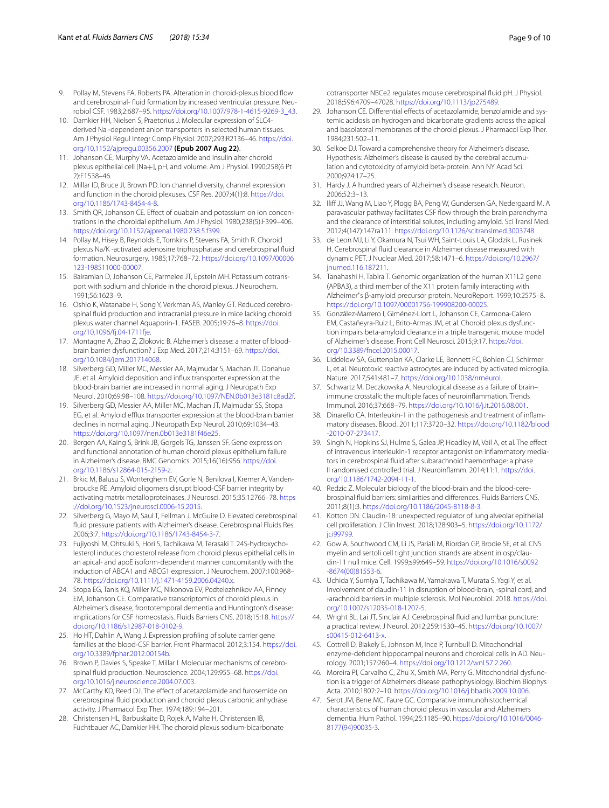- <span id="page-8-0"></span>9. Pollay M, Stevens FA, Roberts PA. Alteration in choroid-plexus blood flow and cerebrospinal- fuid formation by increased ventricular pressure. Neurobiol CSF. 1983;2:687–95. [https://doi.org/10.1007/978-1-4615-9269-3\\_43](https://doi.org/10.1007/978-1-4615-9269-3_43).
- <span id="page-8-1"></span>10. Damkier HH, Nielsen S, Praetorius J. Molecular expression of SLC4 derived Na -dependent anion transporters in selected human tissues. Am J Physiol Regul Integr Comp Physiol. 2007;293:R2136–46. [https://doi.](https://doi.org/10.1152/ajpregu.00356.2007) [org/10.1152/ajpregu.00356.2007](https://doi.org/10.1152/ajpregu.00356.2007) **(Epub 2007 Aug 22)**.
- 11. Johanson CE, Murphy VA. Acetazolamide and insulin alter choroid plexus epithelial cell [Na+], pH, and volume. Am J Physiol. 1990;258(6 Pt 2):F1538–46.
- 12. Millar ID, Bruce JI, Brown PD. Ion channel diversity, channel expression and function in the choroid plexuses. CSF Res. 2007;4(1):8. [https://doi.](https://doi.org/10.1186/1743-8454-4-8) [org/10.1186/1743-8454-4-8.](https://doi.org/10.1186/1743-8454-4-8)
- <span id="page-8-14"></span>13. Smith QR, Johanson CE. Efect of ouabain and potassium on ion concentrations in the choroidal epithelium. Am J Physiol. 1980;238(5):F399–406. [https://doi.org/10.1152/ajprenal.1980.238.5.f399.](https://doi.org/10.1152/ajprenal.1980.238.5.f399)
- <span id="page-8-34"></span>14. Pollay M, Hisey B, Reynolds E, Tomkins P, Stevens FA, Smith R. Choroid plexus Na/K -activated adenosine triphosphatase and cerebrospinal fuid formation. Neurosurgery. 1985;17:768–72. [https://doi.org/10.1097/00006](https://doi.org/10.1097/00006123-198511000-00007) [123-198511000-00007](https://doi.org/10.1097/00006123-198511000-00007).
- <span id="page-8-2"></span>15. Bairamian D, Johanson CE, Parmelee JT, Epstein MH. Potassium cotransport with sodium and chloride in the choroid plexus. J Neurochem. 1991;56:1623–9.
- <span id="page-8-3"></span>16. Oshio K, Watanabe H, Song Y, Verkman AS, Manley GT. Reduced cerebrospinal fuid production and intracranial pressure in mice lacking choroid plexus water channel Aquaporin-1. FASEB. 2005;19:76–8. [https://doi.](https://doi.org/10.1096/fj.04-1711fje) [org/10.1096/f.04-1711fje.](https://doi.org/10.1096/fj.04-1711fje)
- <span id="page-8-4"></span>17. Montagne A, Zhao Z, Zlokovic B. Alzheimer's disease: a matter of bloodbrain barrier dysfunction? J Exp Med. 2017;214:3151–69. [https://doi.](https://doi.org/10.1084/jem.201714068) [org/10.1084/jem.201714068](https://doi.org/10.1084/jem.201714068).
- 18. Silverberg GD, Miller MC, Messier AA, Majmudar S, Machan JT, Donahue JE, et al. Amyloid deposition and infux transporter expression at the blood-brain barrier are increased in normal aging. J Neuropath Exp Neurol. 2010;69:98–108.<https://doi.org/10.1097/NEN.0b013e3181c8ad2f>.
- <span id="page-8-5"></span>19. Silverberg GD, Messier AA, Miller MC, Machan JT, Majmudar SS, Stopa EG, et al. Amyloid efflux transporter expression at the blood-brain barrier declines in normal aging. J Neuropath Exp Neurol. 2010;69:1034–43. [https://doi.org/10.1097/nen.0b013e3181f46e25.](https://doi.org/10.1097/nen.0b013e3181f46e25)
- <span id="page-8-6"></span>20. Bergen AA, Kaing S, Brink JB, Gorgels TG, Janssen SF. Gene expression and functional annotation of human choroid plexus epithelium failure in Alzheimer's disease. BMC Genomics. 2015;16(16):956. [https://doi.](https://doi.org/10.1186/s12864-015-2159-z) [org/10.1186/s12864-015-2159-z.](https://doi.org/10.1186/s12864-015-2159-z)
- <span id="page-8-7"></span>21. Brkic M, Balusu S, Wonterghem EV, Gorle N, Benilova I, Kremer A, Vandenbroucke RE. Amyloid oligomers disrupt blood-CSF barrier integrity by activating matrix metalloproteinases. J Neurosci. 2015;35:12766–78. [https](https://doi.org/10.1523/jneurosci.0006-15.2015) [://doi.org/10.1523/jneurosci.0006-15.2015](https://doi.org/10.1523/jneurosci.0006-15.2015).
- <span id="page-8-8"></span>22. Silverberg G, Mayo M, Saul T, Fellman J, McGuire D. Elevated cerebrospinal fuid pressure patients with Alzheimer's disease. Cerebrospinal Fluids Res. 2006;3:7.<https://doi.org/10.1186/1743-8454-3-7>.
- <span id="page-8-9"></span>23. Fujiyoshi M, Ohtsuki S, Hori S, Tachikawa M, Terasaki T. 24S-hydroxycholesterol induces cholesterol release from choroid plexus epithelial cells in an apical- and apoE isoform-dependent manner concomitantly with the induction of ABCA1 and ABCG1 expression. J Neurochem. 2007;100:968– 78. <https://doi.org/10.1111/j.1471-4159.2006.04240.x>.
- <span id="page-8-10"></span>24. Stopa EG, Tanis KQ, Miller MC, Nikonova EV, Podtelezhnikov AA, Finney EM, Johanson CE. Comparative transcriptomics of choroid plexus in Alzheimer's disease, frontotemporal dementia and Huntington's disease: implications for CSF homeostasis. Fluids Barriers CNS. 2018;15:18. [https://](https://doi.org/10.1186/s12987-018-0102-9) [doi.org/10.1186/s12987-018-0102-9](https://doi.org/10.1186/s12987-018-0102-9).
- <span id="page-8-11"></span>25. Ho HT, Dahlin A, Wang J. Expression profling of solute carrier gene families at the blood-CSF barrier. Front Pharmacol. 2012;3:154. [https://doi.](https://doi.org/10.3389/fphar.2012.00154b) [org/10.3389/fphar.2012.00154b](https://doi.org/10.3389/fphar.2012.00154b).
- <span id="page-8-12"></span>26. Brown P, Davies S, Speake T, Millar I. Molecular mechanisms of cerebrospinal fuid production. Neuroscience. 2004;129:955–68. [https://doi.](https://doi.org/10.1016/j.neuroscience.2004.07.003) [org/10.1016/j.neuroscience.2004.07.003](https://doi.org/10.1016/j.neuroscience.2004.07.003).
- <span id="page-8-15"></span>27. McCarthy KD, Reed DJ. The effect of acetazolamide and furosemide on cerebrospinal fuid production and choroid plexus carbonic anhydrase activity. J Pharmacol Exp Ther. 1974;189:194–201.
- 28. Christensen HL, Barbuskaite D, Rojek A, Malte H, Christensen IB, Füchtbauer AC, Damkier HH. The choroid plexus sodium-bicarbonate

cotransporter NBCe2 regulates mouse cerebrospinal fuid pH. J Physiol. 2018;596:4709–47028. <https://doi.org/10.1113/jp275489>.

- <span id="page-8-13"></span>29. Johanson CE. Differential effects of acetazolamide, benzolamide and systemic acidosis on hydrogen and bicarbonate gradients across the apical and basolateral membranes of the choroid plexus. J Pharmacol Exp Ther. 1984;231:502–11.
- <span id="page-8-16"></span>30. Selkoe DJ. Toward a comprehensive theory for Alzheimer's disease. Hypothesis: Alzheimer's disease is caused by the cerebral accumulation and cytotoxicity of amyloid beta-protein. Ann NY Acad Sci. 2000;924:17–25.
- <span id="page-8-17"></span>31. Hardy J. A hundred years of Alzheimer's disease research. Neuron. 2006;52:3–13.
- <span id="page-8-18"></span>32. Iliff JJ, Wang M, Liao Y, Plogg BA, Peng W, Gundersen GA, Nedergaard M. A paravascular pathway facilitates CSF fow through the brain parenchyma and the clearance of interstitial solutes, including amyloid. Sci Transl Med. 2012;4(147):147ra111. [https://doi.org/10.1126/scitranslmed.3003748.](https://doi.org/10.1126/scitranslmed.3003748)
- <span id="page-8-19"></span>33. de Leon MJ, Li Y, Okamura N, Tsui WH, Saint-Louis LA, Glodzik L, Rusinek H. Cerebrospinal fuid clearance in Alzheimer disease measured with dynamic PET. J Nuclear Med. 2017;58:1471–6. [https://doi.org/10.2967/](https://doi.org/10.2967/jnumed.116.187211) [jnumed.116.187211.](https://doi.org/10.2967/jnumed.116.187211)
- <span id="page-8-20"></span>34. Tanahashi H, Tabira T. Genomic organization of the human X11L2 gene (APBA3), a third member of the X11 protein family interacting with Alzheimer's β-amyloid precursor protein. NeuroReport. 1999;10:2575–8. [https://doi.org/10.1097/00001756-199908200-00025.](https://doi.org/10.1097/00001756-199908200-00025)
- <span id="page-8-21"></span>35. González-Marrero I, Giménez-Llort L, Johanson CE, Carmona-Calero EM, Castañeyra-Ruiz L, Brito-Armas JM, et al. Choroid plexus dysfunction impairs beta-amyloid clearance in a triple transgenic mouse model of Alzheimer's disease. Front Cell Neurosci. 2015;9:17. [https://doi.](https://doi.org/10.3389/fncel.2015.00017) [org/10.3389/fncel.2015.00017](https://doi.org/10.3389/fncel.2015.00017).
- <span id="page-8-22"></span>36. Liddelow SA, Guttenplan KA, Clarke LE, Bennett FC, Bohlen CJ, Schirmer L, et al. Neurotoxic reactive astrocytes are induced by activated microglia. Nature. 2017;541:481–7. [https://doi.org/10.1038/nrneurol.](https://doi.org/10.1038/nrneurol)
- <span id="page-8-23"></span>37. Schwartz M, Deczkowska A. Neurological disease as a failure of brain– immune crosstalk: the multiple faces of neuroinfammation. Trends Immunol. 2016;37:668–79. <https://doi.org/10.1016/j.it.2016.08.001>.
- <span id="page-8-24"></span>38. Dinarello CA. Interleukin-1 in the pathogenesis and treatment of infammatory diseases. Blood. 2011;117:3720–32. [https://doi.org/10.1182/blood](https://doi.org/10.1182/blood-2010-07-273417) [-2010-07-273417](https://doi.org/10.1182/blood-2010-07-273417).
- <span id="page-8-25"></span>39. Singh N, Hopkins SJ, Hulme S, Galea JP, Hoadley M, Vail A, et al. The efect of intravenous interleukin-1 receptor antagonist on infammatory mediators in cerebrospinal fuid after subarachnoid haemorrhage: a phase II randomised controlled trial. J Neuroinfamm. 2014;11:1. [https://doi.](https://doi.org/10.1186/1742-2094-11-1) [org/10.1186/1742-2094-11-1](https://doi.org/10.1186/1742-2094-11-1).
- <span id="page-8-26"></span>40. Redzic Z. Molecular biology of the blood-brain and the blood-cerebrospinal fuid barriers: similarities and diferences. Fluids Barriers CNS. 2011;8(1):3. <https://doi.org/10.1186/2045-8118-8-3>.
- <span id="page-8-27"></span>41. Kotton DN. Claudin-18: unexpected regulator of lung alveolar epithelial cell proliferation. J Clin Invest. 2018;128:903–5. [https://doi.org/10.1172/](https://doi.org/10.1172/jci99799) [jci99799.](https://doi.org/10.1172/jci99799)
- <span id="page-8-28"></span>42. Gow A, Southwood CM, Li JS, Pariali M, Riordan GP, Brodie SE, et al. CNS myelin and sertoli cell tight junction strands are absent in osp/claudin-11 null mice. Cell. 1999;s99:649–59. [https://doi.org/10.1016/s0092](https://doi.org/10.1016/s0092-8674(00)81553-6) [-8674\(00\)81553-6](https://doi.org/10.1016/s0092-8674(00)81553-6).
- <span id="page-8-29"></span>43. Uchida Y, Sumiya T, Tachikawa M, Yamakawa T, Murata S, Yagi Y, et al. Involvement of claudin-11 in disruption of blood-brain, -spinal cord, and -arachnoid barriers in multiple sclerosis. Mol Neurobiol. 2018. [https://doi.](https://doi.org/10.1007/s12035-018-1207-5) [org/10.1007/s12035-018-1207-5.](https://doi.org/10.1007/s12035-018-1207-5)
- <span id="page-8-30"></span>44. Wright BL, Lai JT, Sinclair AJ. Cerebrospinal fluid and lumbar puncture: a practical review. J Neurol. 2012;259:1530–45. [https://doi.org/10.1007/](https://doi.org/10.1007/s00415-012-6413-x) [s00415-012-6413-x](https://doi.org/10.1007/s00415-012-6413-x).
- <span id="page-8-31"></span>45. Cottrell D, Blakely E, Johnson M, Ince P, Turnbull D. Mitochondrial enzyme-defcient hippocampal neurons and choroidal cells in AD. Neurology. 2001;157:260–4. [https://doi.org/10.1212/wnl.57.2.260.](https://doi.org/10.1212/wnl.57.2.260)
- <span id="page-8-32"></span>46. Moreira PI, Carvalho C, Zhu X, Smith MA, Perry G. Mitochondrial dysfunction is a trigger of Alzheimers disease pathophysiology. Biochim Biophys Acta. 2010;1802:2–10. <https://doi.org/10.1016/j.bbadis.2009.10.006>.
- <span id="page-8-33"></span>47. Serot JM, Bene MC, Faure GC. Comparative immunohistochemical characteristics of human choroid plexus in vascular and Alzheimers dementia. Hum Pathol. 1994;25:1185–90. [https://doi.org/10.1016/0046-](https://doi.org/10.1016/0046-8177(94)90035-3) [8177\(94\)90035-3.](https://doi.org/10.1016/0046-8177(94)90035-3)